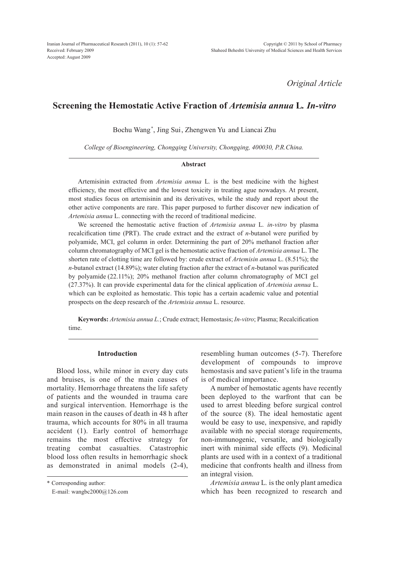*Original Article*

# **Screening the Hemostatic Active Fraction of** *Artemisia annua* **L***. In-vitro*

Bochu Wang\* , Jing Sui, Zhengwen Yu and Liancai Zhu

*College of Bioengineering, Chongqing University, Chongqing, 400030, P.R.China.*

### **Abstract**

Artemisinin extracted from *Artemisia annua* L*.* is the best medicine with the highest efficiency, the most effective and the lowest toxicity in treating ague nowadays. At present, most studies focus on artemisinin and its derivatives, while the study and report about the other active components are rare. This paper purposed to further discover new indication of *Artemisia annua* L. connecting with the record of traditional medicine.

We screened the hemostatic active fraction of *Artemisia annua* L*. in-vitro* by plasma recalcification time (PRT). The crude extract and the extract of *n*-butanol were purified by polyamide, MCI, gel column in order. Determining the part of 20% methanol fraction after column chromatography of MCI gel is the hemostatic active fraction of *Artemisia annua* L. The shorten rate of clotting time are followed by: crude extract of *Artemisin annua* L. (8.51%); the *n*-butanol extract (14.89%); water eluting fraction after the extract of *n*-butanol was purificated by polyamide (22.11%); 20% methanol fraction after column chromatography of MCI gel (27.37%). It can provide experimental data for the clinical application of *Artemisia annua* L. which can be exploited as hemostatic. This topic has a certain academic value and potential prospects on the deep research of the *Artemisia annua* L. resource.

**Keywords:** *Artemisia annua L.*; Crude extract; Hemostasis; *In-vitro*; Plasma; Recalcification time.

# **Introduction**

Blood loss, while minor in every day cuts and bruises, is one of the main causes of mortality. Hemorrhage threatens the life safety of patients and the wounded in trauma care and surgical intervention. Hemorrhage is the main reason in the causes of death in 48 h after trauma, which accounts for 80% in all trauma accident (1). Early control of hemorrhage remains the most effective strategy for treating combat casualties. Catastrophic blood loss often results in hemorrhagic shock as demonstrated in animal models (2-4),

\* Corresponding author:

E-mail: wangbc2000@126.com

resembling human outcomes (5-7). Therefore development of compounds to improve hemostasis and save patient's life in the trauma is of medical importance.

A number of hemostatic agents have recently been deployed to the warfront that can be used to arrest bleeding before surgical control of the source (8). The ideal hemostatic agent would be easy to use, inexpensive, and rapidly available with no special storage requirements, non-immunogenic, versatile, and biologically inert with minimal side effects (9). Medicinal plants are used with in a context of a traditional medicine that confronts health and illness from an integral vision.

*Artemisia annua* L*.* is the only plant amedica which has been recognized to research and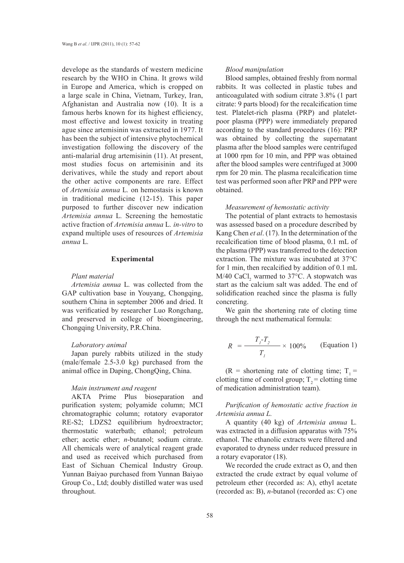develope as the standards of western medicine research by the WHO in China. It grows wild in Europe and America, which is cropped on a large scale in China, Vietnam, Turkey, Iran, Afghanistan and Australia now (10). It is a famous herbs known for its highest efficiency, most effective and lowest toxicity in treating ague since artemisinin was extracted in 1977. It has been the subject of intensive phytochemical investigation following the discovery of the anti-malarial drug artemisinin (11). At present, most studies focus on artemisinin and its derivatives, while the study and report about the other active components are rare. Effect of *Artemisia annua* L*.* on hemostasis is known in traditional medicine (12-15). This paper purposed to further discover new indication *Artemisia annua* L*.* Screening the hemostatic active fraction of *Artemisia annua* L*. in-vitro* to expand multiple uses of resources of *Artemisia annua* L*.*

# **Experimental**

# *Plant material*

*Artemisia annua* L*.* was collected from the GAP cultivation base in Youyang, Chongqing, southern China in september 2006 and dried. It was verificatied by researcher Luo Rongchang, and preserved in college of bioengineering, Chongqing University, P.R.China.

#### *Laboratory animal*

Japan purely rabbits utilized in the study (male/female 2.5-3.0 kg) purchased from the animal office in Daping, ChongQing, China.

# *Main instrument and reagent*

AKTA Prime Plus bioseparation and purification system; polyamide column; MCI chromatographic column; rotatory evaporator RE-S2; LDZS2 equilibrium hydroextractor; thermostatic waterbath; ethanol; petroleum ether; acetic ether; *n*-butanol; sodium citrate. All chemicals were of analytical reagent grade and used as received which purchased from East of Sichuan Chemical Industry Group. Yunnan Baiyao purchased from Yunnan Baiyao Group Co., Ltd; doubly distilled water was used throughout.

#### *Blood manipulation*

Blood samples, obtained freshly from normal rabbits. It was collected in plastic tubes and anticoagulated with sodium citrate 3.8% (1 part citrate: 9 parts blood) for the recalcification time test. Platelet-rich plasma (PRP) and plateletpoor plasma (PPP) were immediately prepared according to the standard procedures (16): PRP was obtained by collecting the supernatant plasma after the blood samples were centrifuged at 1000 rpm for 10 min, and PPP was obtained after the blood samples were centrifuged at 3000 rpm for 20 min. The plasma recalcification time test was performed soon after PRP and PPP were obtained.

#### *Measurement of hemostatic activity*

The potential of plant extracts to hemostasis was assessed based on a procedure described by Kang Chen *et al*. (17). In the determination of the recalcification time of blood plasma, 0.1 mL of the plasma (PPP) was transferred to the detection extraction. The mixture was incubated at 37°C for 1 min, then recalcified by addition of 0.1 mL  $M/40$  CaCl<sub>2</sub> warmed to 37 $^{\circ}$ C. A stopwatch was start as the calcium salt was added. The end of solidification reached since the plasma is fully concreting.

We gain the shortening rate of cloting time through the next mathematical formula:

$$
R = \frac{T_i - T_2}{T_1} \times 100\% \qquad \text{(Equation 1)}
$$

(R = shortening rate of clotting time;  $T_1$  = clotting time of control group;  $T_2$  = clotting time of medication administration team).

*Purification of hemostatic active fraction in Artemisia annua L.*

A quantity (40 kg) of *Artemisia annua* L*.* was extracted in a diffusion apparatus with 75% ethanol. The ethanolic extracts were filtered and evaporated to dryness under reduced pressure in a rotary evaporator (18).

We recorded the crude extract as O, and then extracted the crude extract by equal volume of petroleum ether (recorded as: A), ethyl acetate (recorded as: B), *n*-butanol (recorded as: C) one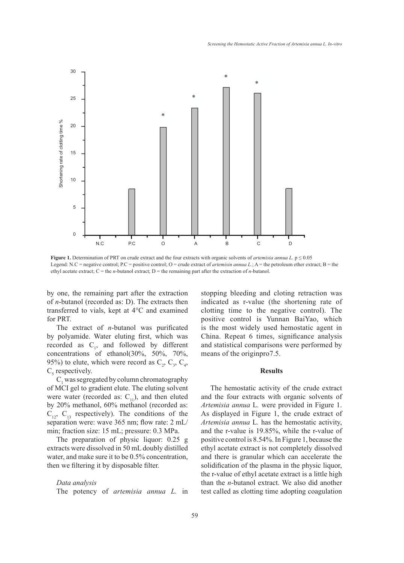

Figure 1. Determination of PRT on crude extract and the four extracts with organic solvents of *artemisia annua L*.  $p \le 0.05$ ethyl acetate extract;  $C$  = the *n*-butanol extract; D = the remaining part after the extraction of *n*-butanol. Legend: N.C = negative control; P.C = positive control; O = crude extract of *artemisin annua L*; A = the petroleum ether extract; B = the

by one, the remaining part after the extraction stopping bleeding and cloting reti of *n*-butanol (recorded as: D). The extracts then indicated as r-value (the shorteni transferred to vials, kept at 4°C and examined for PRT.

The extract of *n*-butanol was purificated by polyamide. Water eluting first, which was recorded as  $C_1$ , and followed by different concentrations of ethanol(30%, 50%, 70%, 95%) to elute, which were record as  $C_2$ ,  $C_3$ ,  $C_4$ ,  $C<sub>5</sub>$  respectively.

 $C_1$  was segregated by column chromatography of MCI gel to gradient elute. The eluting solvent were water (recorded as:  $C_{11}$ ), and then eluted by 20% methanol, 60% methanol (recorded as:  $C_{12}$ ,  $C_{13}$  respectively). The conditions of the separation were: wave 365 nm; flow rate: 2 mL/ min; fraction size: 15 mL; pressure: 0.3 MPa.

The preparation of physic liquor: 0.25 g extracts were dissolved in 50 mL doubly distilled water, and make sure it to be 0.5% concentration, then we filtering it by disposable filter.

*Data analysis* The potency of *artemisia annua L.* in stopping bleeding and cloting retraction was indicated as r-value (the shortening rate of clotting time to the negative control). The positive control is Yunnan BaiYao, which is the most widely used hemostatic agent in China. Repeat 6 times, significance analysis and statistical comparisons were performed by means of the originpro7.5.

# **Results**

The hemostatic activity of the crude extract and the four extracts with organic solvents of *Artemisia annua* L*.* were provided in Figure 1. As displayed in Figure 1, the crude extract of *Artemisia annua* L*.* has the hemostatic activity, and the r-value is 19.85%, while the r-value of positive control is 8.54%. In Figure 1, because the ethyl acetate extract is not completely dissolved and there is granular which can accelerate the solidification of the plasma in the physic liquor, the r-value of ethyl acetate extract is a little high than the *n*-butanol extract. We also did another test called as clotting time adopting coagulation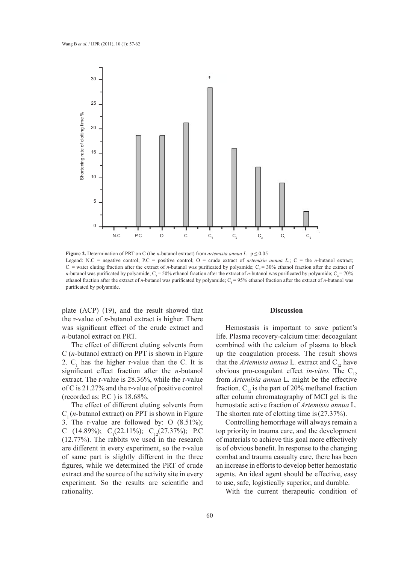

**Figure 2.** Determination of PRT on C (the *n-*butanol extract) from *artemisia annua L.* **Figure 2.** Determination of PRT on C (the *n-*butanol extract) from *artemisia annua L.* p ≤ 0.05  $C_1$  = water eluting fraction after the extract of *n*-butanol was purificated by polyamide;  $C_2$  = 30% ethanol fraction after the extract of ethanol fraction after the extract of *n*-butanol was purificated by polyamide;  $C_5$  = 95% ethanol fraction after the extract of *n*-butanol was must not a help and the stract of *n*-butanol was Legend: N.C = negative control; P.C = positive control; O = crude extract of *artemisin annua L.*; C = the *n-*butanol extract; *n*-butanol was purificated by polyamide; C<sub>3</sub> = 50% ethanol fraction after the extract of *n*-butanol was purificated by polyamide; C<sub>4</sub> = 70% purificated by polyamide.

plate (ACP) (19), and the result showed that **Discussion** the r-value of *n*-butanol extract is higher. There was significant effect of the crude extract and **Hemostasis** is important to save *n*-butanol extract on PRT.

C (*n*-butanol extract) on PPT is shown in Figure 2.  $C_1$  has the higher r-value than the C. It is significant effect fraction after the *n*-butanol extract. The r-value is 28.36%, while the r-value of C is 21.27% and the r-value of positive control (recorded as: P.C ) is 18.68%.

The effect of different eluting solvents from  $C_1$  (*n*-butanol extract) on PPT is shown in Figure 3. The r-value are followed by: O (8.51%); C (14.89%); C<sub>1</sub>(22.11%); C<sub>12</sub>(27.37%); P.C (12.77%). The rabbits we used in the research are different in every experiment, so the r-value of same part is slightly different in the three figures, while we determined the PRT of crude extract and the source of the activity site in every experiment. So the results are scientific and rationality.

#### **Discussion**

The effect of different eluting solvents from combined with the calcium of plasn Hemostasis is important to save patient's life. Plasma recovery-calcium time: decoagulant combined with the calcium of plasma to block up the coagulation process. The result shows that the *Artemisia annua* L. extract and  $C_{12}$  have obvious pro-coagulant effect *in-vitro*. The  $C_{12}$ from *Artemisia annua* L*.* might be the effective fraction.  $C_{12}$  is the part of 20% methanol fraction after column chromatography of MCI gel is the hemostatic active fraction of *Artemisia annua* L*.* The shorten rate of clotting time is(27.37%).

> Controlling hemorrhage will always remain a top priority in trauma care, and the development of materials to achieve this goal more effectively is of obvious benefit. In response to the changing combat and trauma casualty care, there has been an increase in efforts to develop better hemostatic agents. An ideal agent should be effective, easy to use, safe, logistically superior, and durable.

With the current therapeutic condition of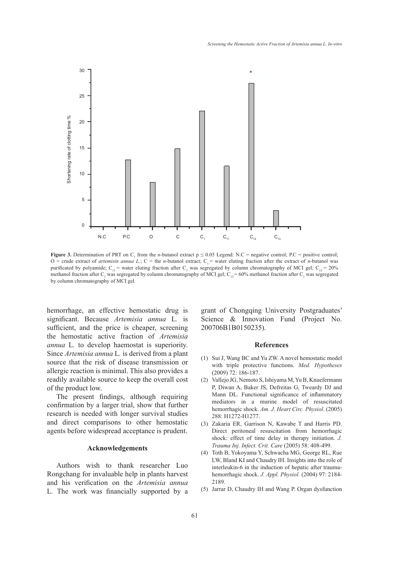

 $\overline{O}$  = crude extract of *artemisin annua L*;  $C =$  the *n*-butanol extract;  $C_1$  = water eluting fraction after the extract of *n*-butanol was methanol fraction after C<sub>1</sub> was segregated by column chromatography of MCI gel; C<sub>13</sub> = 60% methanol fraction after C<sub>1</sub> was segregated *annua L.*; C = the *n-*butanol extract; C1 = water eluting fraction after the extract of **Figure 3.** Determination of PRT on C<sub>1</sub> from the *n*-butanol extract  $p \le 0.05$  Legend: N.C = negative control; P.C = positive control; purificated by polyamide;  $C_{11}$  = water eluting fraction after  $C_1$  was segregated by column chromatography of MCI gel;  $C_{12}$  = 20% by column chromatography of MCI gel.

hemorrhage, an effective hemostatic drug is grant of Chongqing University Po significant. Because *Artemisia annua* L. is Science & Innovation Fund (1 sufficient, and the price is cheaper, screening the hemostatic active fraction of *Artemisia annua* L*.* to develop haemostat is superiority. Since *Artemisia annua* L*.* is derived from a plant source that the risk of disease transmission or allergic reaction is minimal. This also provides a readily available source to keep the overall cost of the product low.

The present findings, although requiring confirmation by a larger trial, show that further research is needed with longer survival studies and direct comparisons to other hemostatic agents before widespread acceptance is prudent.

# **Acknowledgements**

Authors wish to thank researcher Luo Rongchang for invaluable help in plants harvest and his verification on the *Artemisia annua*  L*.* The work was financially supported by a

grant of Chongqing University Postgraduates' Science & Innovation Fund (Project No. 200706B1B0150235).

#### **References**

- (1) Sui J, Wang BC and Yu ZW. A novel hemostatic model with triple protective functions. *Med. Hypotheses*  (2009) 72: 186-187.
- (2) Vallejo JG, Nemoto S, Ishiyama M, Yu B, Knuefermann P, Diwan A, Baker JS, Defreitas G, Tweardy DJ and Mann DL. Functional significance of inflammatory mediators in a murine model of resuscitated hemorrhagic shock. *Am. J. Heart Circ. Physiol.* (2005) 288: H1272-H1277.
- (3) Zakaria ER, Garrison N, Kawabe T and Harris PD. Direct peritoneal resuscitation from hemorrhagic shock: effect of time delay in therapy initiation. *J. Trauma Inj. Infect. Crit. Care* (2005) 58: 408-499.
- Toth B, Yokoyama Y, Schwacha MG, George RL, Rue (4) LW, Bland KI and Chaudry IH. Insights into the role of interleukin-6 in the induction of hepatic after traumahemorrhagic shock. *J. Appl. Physiol.* (2004) 97: 2184- 2189.
- (5) Jarrar D, Chaudry IH and Wang P. Organ dysfunction